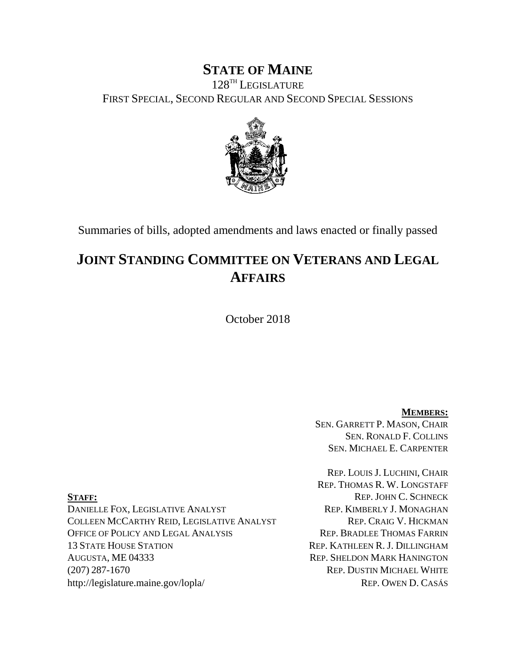## **STATE OF MAINE**

128 TH LEGISLATURE FIRST SPECIAL, SECOND REGULAR AND SECOND SPECIAL SESSIONS



Summaries of bills, adopted amendments and laws enacted or finally passed

## **JOINT STANDING COMMITTEE ON VETERANS AND LEGAL AFFAIRS**

October 2018

**MEMBERS:** SEN. GARRETT P. MASON, CHAIR SEN. RONALD F. COLLINS SEN. MICHAEL E. CARPENTER

REP. LOUIS J. LUCHINI, CHAIR REP. THOMAS R. W. LONGSTAFF **STAFF:** REP. JOHN C. SCHNECK

DANIELLE FOX, LEGISLATIVE ANALYST REP. KIMBERLY J. MONAGHAN COLLEEN MCCARTHY REID, LEGISLATIVE ANALYST REP. CRAIG V. HICKMAN OFFICE OF POLICY AND LEGAL ANALYSIS REP. BRADLEE THOMAS FARRIN 13 STATE HOUSE STATION REP. KATHLEEN R. J. DILLINGHAM AUGUSTA, ME 04333 REP. SHELDON MARK HANINGTON (207) 287-1670 REP. DUSTIN MICHAEL WHITE http://legislature.maine.gov/lopla/ REP. OWEN D. CASÁS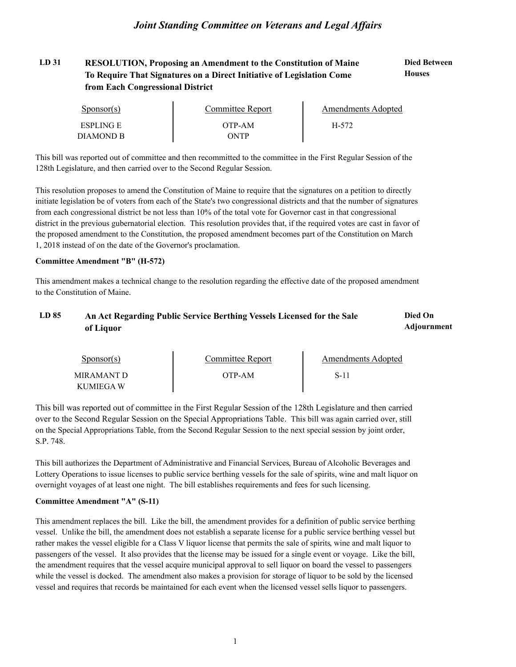#### LD 31 **RESOLUTION, Proposing an Amendment to the Constitution of Maine <b>Died Between Houses To Require That Signatures on a Direct Initiative of Legislation Come from Each Congressional District**

| Sponsor(s)       | Committee Report | Amendments Adopted |  |
|------------------|------------------|--------------------|--|
| <b>ESPLING E</b> | OTP-AM           | H-572              |  |
| DIAMOND B        | ONTP             |                    |  |

This bill was reported out of committee and then recommitted to the committee in the First Regular Session of the 128th Legislature, and then carried over to the Second Regular Session.

This resolution proposes to amend the Constitution of Maine to require that the signatures on a petition to directly initiate legislation be of voters from each of the State's two congressional districts and that the number of signatures from each congressional district be not less than 10% of the total vote for Governor cast in that congressional district in the previous gubernatorial election. This resolution provides that, if the required votes are cast in favor of the proposed amendment to the Constitution, the proposed amendment becomes part of the Constitution on March 1, 2018 instead of on the date of the Governor's proclamation.

#### **Committee Amendment "B" (H-572)**

This amendment makes a technical change to the resolution regarding the effective date of the proposed amendment to the Constitution of Maine.

#### LD 85 An Act Regarding Public Service Berthing Vessels Licensed for the Sale **Died On Adjournment of Liquor**

| Sponsor(s) | Committee Report | Amendments Adopted |  |
|------------|------------------|--------------------|--|
| MIRAMANT D | OTP-AM           | $S-11$             |  |
| KUMIEGA W  |                  |                    |  |

This bill was reported out of committee in the First Regular Session of the 128th Legislature and then carried over to the Second Regular Session on the Special Appropriations Table. This bill was again carried over, still on the Special Appropriations Table, from the Second Regular Session to the next special session by joint order, S.P. 748.

This bill authorizes the Department of Administrative and Financial Services, Bureau of Alcoholic Beverages and Lottery Operations to issue licenses to public service berthing vessels for the sale of spirits, wine and malt liquor on overnight voyages of at least one night. The bill establishes requirements and fees for such licensing.

#### **Committee Amendment "A" (S-11)**

This amendment replaces the bill. Like the bill, the amendment provides for a definition of public service berthing vessel. Unlike the bill, the amendment does not establish a separate license for a public service berthing vessel but rather makes the vessel eligible for a Class V liquor license that permits the sale of spirits, wine and malt liquor to passengers of the vessel. It also provides that the license may be issued for a single event or voyage. Like the bill, the amendment requires that the vessel acquire municipal approval to sell liquor on board the vessel to passengers while the vessel is docked. The amendment also makes a provision for storage of liquor to be sold by the licensed vessel and requires that records be maintained for each event when the licensed vessel sells liquor to passengers.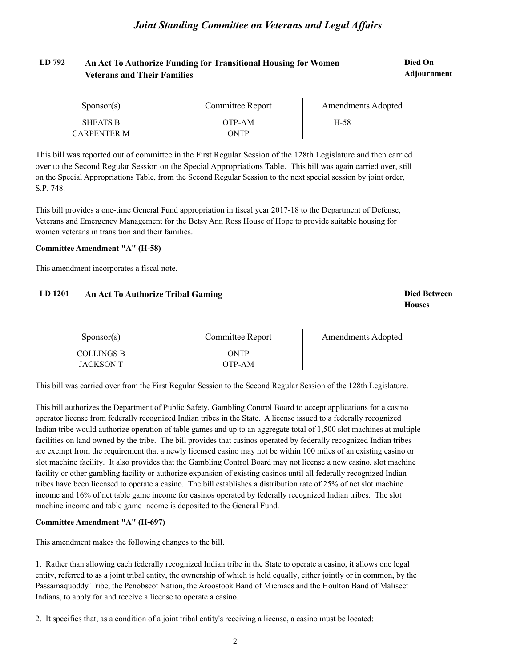#### LD 792 An Act To Authorize Funding for Transitional Housing for Women **Died On Adjournment Veterans and Their Families**

| Sponsor(s)      | Committee Report | Amendments Adopted |  |
|-----------------|------------------|--------------------|--|
| <b>SHEATS B</b> | OTP-AM           | H-58               |  |
| CARPENTER M     | ONTP             |                    |  |

This bill was reported out of committee in the First Regular Session of the 128th Legislature and then carried over to the Second Regular Session on the Special Appropriations Table. This bill was again carried over, still on the Special Appropriations Table, from the Second Regular Session to the next special session by joint order, S.P. 748.

This bill provides a one-time General Fund appropriation in fiscal year 2017-18 to the Department of Defense, Veterans and Emergency Management for the Betsy Ann Ross House of Hope to provide suitable housing for women veterans in transition and their families.

#### **Committee Amendment "A" (H-58)**

This amendment incorporates a fiscal note.

#### **LD 1201 Died Between An Act To Authorize Tribal Gaming**

**Houses**

| $S_{\text{DODSOT}}(s)$ | Committee Report | Amendments Adopted |
|------------------------|------------------|--------------------|
| COLLINGS B             | ONTP             |                    |
| JACKSON T              | OTP-AM           |                    |

This bill was carried over from the First Regular Session to the Second Regular Session of the 128th Legislature.

This bill authorizes the Department of Public Safety, Gambling Control Board to accept applications for a casino operator license from federally recognized Indian tribes in the State. A license issued to a federally recognized Indian tribe would authorize operation of table games and up to an aggregate total of 1,500 slot machines at multiple facilities on land owned by the tribe. The bill provides that casinos operated by federally recognized Indian tribes are exempt from the requirement that a newly licensed casino may not be within 100 miles of an existing casino or slot machine facility. It also provides that the Gambling Control Board may not license a new casino, slot machine facility or other gambling facility or authorize expansion of existing casinos until all federally recognized Indian tribes have been licensed to operate a casino. The bill establishes a distribution rate of 25% of net slot machine income and 16% of net table game income for casinos operated by federally recognized Indian tribes. The slot machine income and table game income is deposited to the General Fund.

#### **Committee Amendment "A" (H-697)**

This amendment makes the following changes to the bill.

1. Rather than allowing each federally recognized Indian tribe in the State to operate a casino, it allows one legal entity, referred to as a joint tribal entity, the ownership of which is held equally, either jointly or in common, by the Passamaquoddy Tribe, the Penobscot Nation, the Aroostook Band of Micmacs and the Houlton Band of Maliseet Indians, to apply for and receive a license to operate a casino.

2. It specifies that, as a condition of a joint tribal entity's receiving a license, a casino must be located: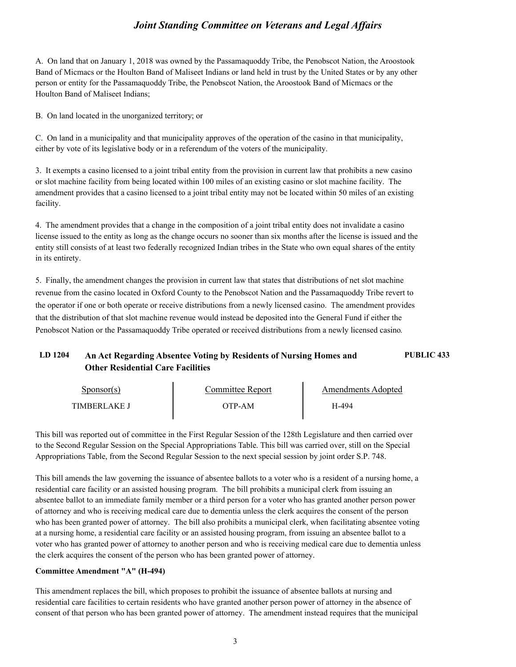A. On land that on January 1, 2018 was owned by the Passamaquoddy Tribe, the Penobscot Nation, the Aroostook Band of Micmacs or the Houlton Band of Maliseet Indians or land held in trust by the United States or by any other person or entity for the Passamaquoddy Tribe, the Penobscot Nation, the Aroostook Band of Micmacs or the Houlton Band of Maliseet Indians;

B. On land located in the unorganized territory; or

C. On land in a municipality and that municipality approves of the operation of the casino in that municipality, either by vote of its legislative body or in a referendum of the voters of the municipality.

3. It exempts a casino licensed to a joint tribal entity from the provision in current law that prohibits a new casino or slot machine facility from being located within 100 miles of an existing casino or slot machine facility. The amendment provides that a casino licensed to a joint tribal entity may not be located within 50 miles of an existing facility.

4. The amendment provides that a change in the composition of a joint tribal entity does not invalidate a casino license issued to the entity as long as the change occurs no sooner than six months after the license is issued and the entity still consists of at least two federally recognized Indian tribes in the State who own equal shares of the entity in its entirety.

5. Finally, the amendment changes the provision in current law that states that distributions of net slot machine revenue from the casino located in Oxford County to the Penobscot Nation and the Passamaquoddy Tribe revert to the operator if one or both operate or receive distributions from a newly licensed casino. The amendment provides that the distribution of that slot machine revenue would instead be deposited into the General Fund if either the Penobscot Nation or the Passamaquoddy Tribe operated or received distributions from a newly licensed casino.

## **LD 1204 An Act Regarding Absentee Voting by Residents of Nursing Homes and PUBLIC 433 Other Residential Care Facilities**

| Sponsor(s)   | Committee Report | Amendments Adopted |  |
|--------------|------------------|--------------------|--|
| TIMBERLAKE J | )TP-AM           | H-494              |  |

This bill was reported out of committee in the First Regular Session of the 128th Legislature and then carried over to the Second Regular Session on the Special Appropriations Table. This bill was carried over, still on the Special Appropriations Table, from the Second Regular Session to the next special session by joint order S.P. 748.

This bill amends the law governing the issuance of absentee ballots to a voter who is a resident of a nursing home, a residential care facility or an assisted housing program. The bill prohibits a municipal clerk from issuing an absentee ballot to an immediate family member or a third person for a voter who has granted another person power of attorney and who is receiving medical care due to dementia unless the clerk acquires the consent of the person who has been granted power of attorney. The bill also prohibits a municipal clerk, when facilitating absentee voting at a nursing home, a residential care facility or an assisted housing program, from issuing an absentee ballot to a voter who has granted power of attorney to another person and who is receiving medical care due to dementia unless the clerk acquires the consent of the person who has been granted power of attorney.

#### **Committee Amendment "A" (H-494)**

This amendment replaces the bill, which proposes to prohibit the issuance of absentee ballots at nursing and residential care facilities to certain residents who have granted another person power of attorney in the absence of consent of that person who has been granted power of attorney. The amendment instead requires that the municipal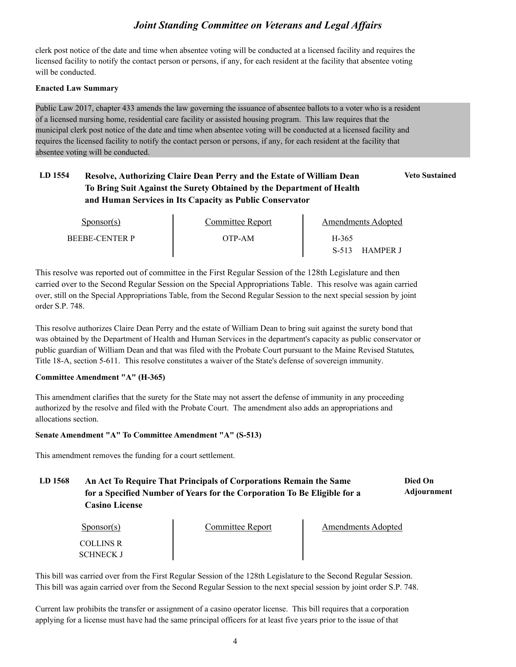clerk post notice of the date and time when absentee voting will be conducted at a licensed facility and requires the licensed facility to notify the contact person or persons, if any, for each resident at the facility that absentee voting will be conducted.

#### **Enacted Law Summary**

Public Law 2017, chapter 433 amends the law governing the issuance of absentee ballots to a voter who is a resident of a licensed nursing home, residential care facility or assisted housing program. This law requires that the municipal clerk post notice of the date and time when absentee voting will be conducted at a licensed facility and requires the licensed facility to notify the contact person or persons, if any, for each resident at the facility that absentee voting will be conducted.

## **LD 1554 Resolve, Authorizing Claire Dean Perry and the Estate of William Dean Veto Sustained To Bring Suit Against the Surety Obtained by the Department of Health and Human Services in Its Capacity as Public Conservator**

| Sponsor(s)            | Committee Report | Amendments Adopted       |  |
|-----------------------|------------------|--------------------------|--|
| <b>BEEBE-CENTER P</b> | OTP-AM-          | H-365                    |  |
|                       |                  | <b>HAMPER J</b><br>S-513 |  |

This resolve was reported out of committee in the First Regular Session of the 128th Legislature and then carried over to the Second Regular Session on the Special Appropriations Table. This resolve was again carried over, still on the Special Appropriations Table, from the Second Regular Session to the next special session by joint order S.P. 748.

This resolve authorizes Claire Dean Perry and the estate of William Dean to bring suit against the surety bond that was obtained by the Department of Health and Human Services in the department's capacity as public conservator or public guardian of William Dean and that was filed with the Probate Court pursuant to the Maine Revised Statutes, Title 18-A, section 5-611. This resolve constitutes a waiver of the State's defense of sovereign immunity.

#### **Committee Amendment "A" (H-365)**

This amendment clarifies that the surety for the State may not assert the defense of immunity in any proceeding authorized by the resolve and filed with the Probate Court. The amendment also adds an appropriations and allocations section.

#### **Senate Amendment "A" To Committee Amendment "A" (S-513)**

This amendment removes the funding for a court settlement.

#### LD 1568 An Act To Require That Principals of Corporations Remain the Same **Died On Adjournment for a Specified Number of Years for the Corporation To Be Eligible for a Casino License**

| $S_{\text{ponsor}}(s)$ | Committee Report | Amendments Adopted |  |
|------------------------|------------------|--------------------|--|
| <b>COLLINS R</b>       |                  |                    |  |
| SCHNECK J              |                  |                    |  |

This bill was carried over from the First Regular Session of the 128th Legislature to the Second Regular Session. This bill was again carried over from the Second Regular Session to the next special session by joint order S.P. 748.

Current law prohibits the transfer or assignment of a casino operator license. This bill requires that a corporation applying for a license must have had the same principal officers for at least five years prior to the issue of that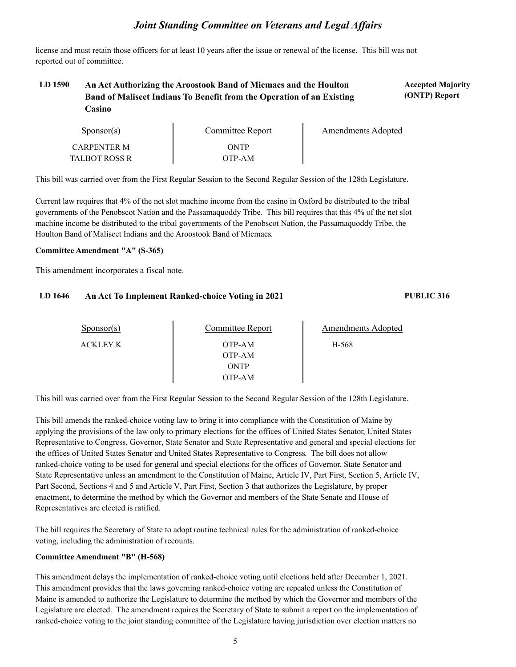license and must retain those officers for at least 10 years after the issue or renewal of the license. This bill was not reported out of committee.

### LD 1590 An Act Authorizing the Aroostook Band of Micmacs and the Houlton **Produce Accepted Majority Band of Maliseet Indians To Benefit from the Operation of an Existing Casino**

| Sponsor(s)         | Committee Report | Amendments Adopted |
|--------------------|------------------|--------------------|
| <b>CARPENTER M</b> | ONTP             |                    |
| TALBOT ROSS R      | OTP-AM           |                    |

This bill was carried over from the First Regular Session to the Second Regular Session of the 128th Legislature.

Current law requires that 4% of the net slot machine income from the casino in Oxford be distributed to the tribal governments of the Penobscot Nation and the Passamaquoddy Tribe. This bill requires that this 4% of the net slot machine income be distributed to the tribal governments of the Penobscot Nation, the Passamaquoddy Tribe, the Houlton Band of Maliseet Indians and the Aroostook Band of Micmacs.

#### **Committee Amendment "A" (S-365)**

This amendment incorporates a fiscal note.

#### **LD 1646 An Act To Implement Ranked-choice Voting in 2021 PUBLIC 316**

#### Sponsor(s) ACKLEY K OTP-AM OTP-AM ONTP OTP-AM Committee Report Amendments Adopted H-568

This bill was carried over from the First Regular Session to the Second Regular Session of the 128th Legislature.

This bill amends the ranked-choice voting law to bring it into compliance with the Constitution of Maine by applying the provisions of the law only to primary elections for the offices of United States Senator, United States Representative to Congress, Governor, State Senator and State Representative and general and special elections for the offices of United States Senator and United States Representative to Congress. The bill does not allow ranked-choice voting to be used for general and special elections for the offices of Governor, State Senator and State Representative unless an amendment to the Constitution of Maine, Article IV, Part First, Section 5, Article IV, Part Second, Sections 4 and 5 and Article V, Part First, Section 3 that authorizes the Legislature, by proper enactment, to determine the method by which the Governor and members of the State Senate and House of Representatives are elected is ratified.

The bill requires the Secretary of State to adopt routine technical rules for the administration of ranked-choice voting, including the administration of recounts.

#### **Committee Amendment "B" (H-568)**

This amendment delays the implementation of ranked-choice voting until elections held after December 1, 2021. This amendment provides that the laws governing ranked-choice voting are repealed unless the Constitution of Maine is amended to authorize the Legislature to determine the method by which the Governor and members of the Legislature are elected. The amendment requires the Secretary of State to submit a report on the implementation of ranked-choice voting to the joint standing committee of the Legislature having jurisdiction over election matters no

**(ONTP) Report**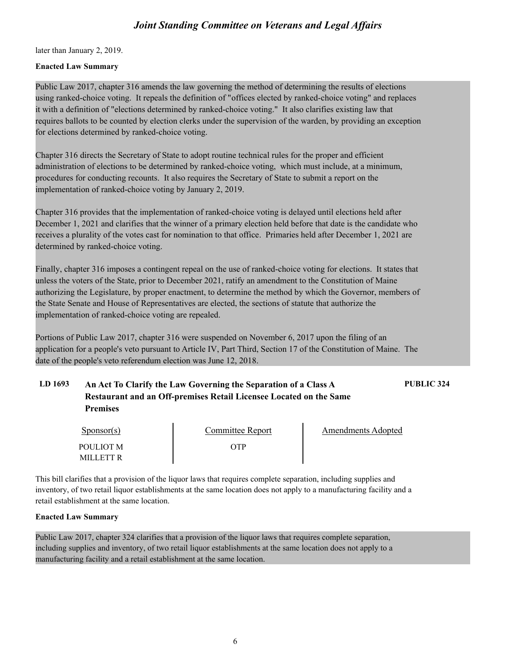later than January 2, 2019.

#### **Enacted Law Summary**

Public Law 2017, chapter 316 amends the law governing the method of determining the results of elections using ranked-choice voting. It repeals the definition of "offices elected by ranked-choice voting" and replaces it with a definition of "elections determined by ranked-choice voting." It also clarifies existing law that requires ballots to be counted by election clerks under the supervision of the warden, by providing an exception for elections determined by ranked-choice voting.

Chapter 316 directs the Secretary of State to adopt routine technical rules for the proper and efficient administration of elections to be determined by ranked-choice voting, which must include, at a minimum, procedures for conducting recounts. It also requires the Secretary of State to submit a report on the implementation of ranked-choice voting by January 2, 2019.

Chapter 316 provides that the implementation of ranked-choice voting is delayed until elections held after December 1, 2021 and clarifies that the winner of a primary election held before that date is the candidate who receives a plurality of the votes cast for nomination to that office. Primaries held after December 1, 2021 are determined by ranked-choice voting.

Finally, chapter 316 imposes a contingent repeal on the use of ranked-choice voting for elections. It states that unless the voters of the State, prior to December 2021, ratify an amendment to the Constitution of Maine authorizing the Legislature, by proper enactment, to determine the method by which the Governor, members of the State Senate and House of Representatives are elected, the sections of statute that authorize the implementation of ranked-choice voting are repealed.

Portions of Public Law 2017, chapter 316 were suspended on November 6, 2017 upon the filing of an application for a people's veto pursuant to Article IV, Part Third, Section 17 of the Constitution of Maine. The date of the people's veto referendum election was June 12, 2018.

## **LD 1693 An Act To Clarify the Law Governing the Separation of a Class A PUBLIC 324 Restaurant and an Off-premises Retail Licensee Located on the Same Premises**

| $S_{\text{ponsor}}(s)$        | Committee Report | Amendments Adopted |  |
|-------------------------------|------------------|--------------------|--|
| POULIOT M<br><b>MILLETT R</b> | ЭTР              |                    |  |

This bill clarifies that a provision of the liquor laws that requires complete separation, including supplies and inventory, of two retail liquor establishments at the same location does not apply to a manufacturing facility and a retail establishment at the same location.

#### **Enacted Law Summary**

Public Law 2017, chapter 324 clarifies that a provision of the liquor laws that requires complete separation, including supplies and inventory, of two retail liquor establishments at the same location does not apply to a manufacturing facility and a retail establishment at the same location.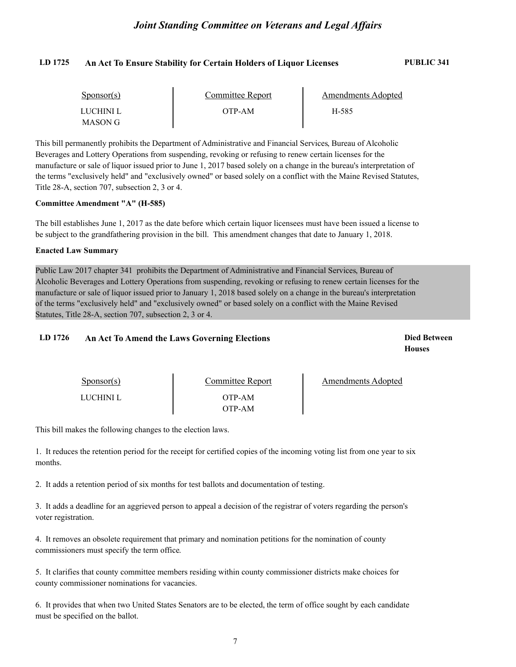#### **LD 1725 An Act To Ensure Stability for Certain Holders of Liquor Licenses PUBLIC 341**

| $S_{\text{ponsor}}(s)$ | Committee Report | Amendments Adopted |  |
|------------------------|------------------|--------------------|--|
| LUCHINI L              | OTP-AM           | H-585              |  |
| MASON G                |                  |                    |  |

This bill permanently prohibits the Department of Administrative and Financial Services, Bureau of Alcoholic Beverages and Lottery Operations from suspending, revoking or refusing to renew certain licenses for the manufacture or sale of liquor issued prior to June 1, 2017 based solely on a change in the bureau's interpretation of the terms "exclusively held" and "exclusively owned" or based solely on a conflict with the Maine Revised Statutes, Title 28-A, section 707, subsection 2, 3 or 4.

#### **Committee Amendment "A" (H-585)**

The bill establishes June 1, 2017 as the date before which certain liquor licensees must have been issued a license to be subject to the grandfathering provision in the bill. This amendment changes that date to January 1, 2018.

#### **Enacted Law Summary**

Public Law 2017 chapter 341 prohibits the Department of Administrative and Financial Services, Bureau of Alcoholic Beverages and Lottery Operations from suspending, revoking or refusing to renew certain licenses for the manufacture or sale of liquor issued prior to January 1, 2018 based solely on a change in the bureau's interpretation of the terms "exclusively held" and "exclusively owned" or based solely on a conflict with the Maine Revised Statutes, Title 28-A, section 707, subsection 2, 3 or 4.

#### **LD 1726 Died Between An Act To Amend the Laws Governing Elections**

**Houses**

| Sponsor(s)       | Committee Report | <b>Amendments Adopted</b> |
|------------------|------------------|---------------------------|
| <b>LUCHINI L</b> | OTP-AM<br>OTP-AM |                           |

This bill makes the following changes to the election laws.

1. It reduces the retention period for the receipt for certified copies of the incoming voting list from one year to six months.

2. It adds a retention period of six months for test ballots and documentation of testing.

3. It adds a deadline for an aggrieved person to appeal a decision of the registrar of voters regarding the person's voter registration.

4. It removes an obsolete requirement that primary and nomination petitions for the nomination of county commissioners must specify the term office.

5. It clarifies that county committee members residing within county commissioner districts make choices for county commissioner nominations for vacancies.

6. It provides that when two United States Senators are to be elected, the term of office sought by each candidate must be specified on the ballot.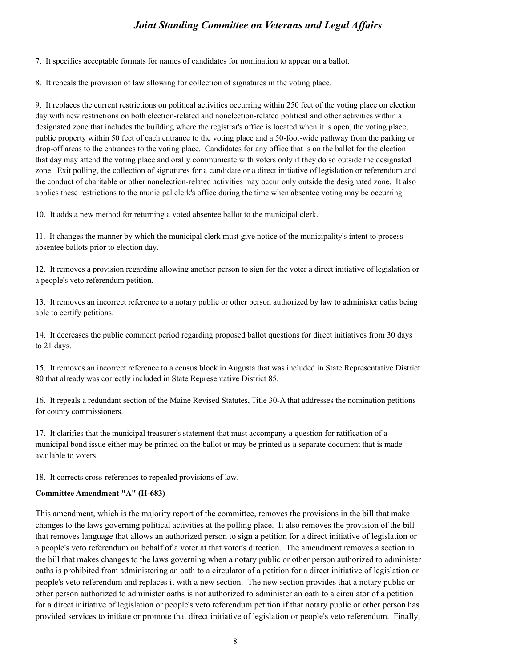7. It specifies acceptable formats for names of candidates for nomination to appear on a ballot.

8. It repeals the provision of law allowing for collection of signatures in the voting place.

9. It replaces the current restrictions on political activities occurring within 250 feet of the voting place on election day with new restrictions on both election-related and nonelection-related political and other activities within a designated zone that includes the building where the registrar's office is located when it is open, the voting place, public property within 50 feet of each entrance to the voting place and a 50-foot-wide pathway from the parking or drop-off areas to the entrances to the voting place. Candidates for any office that is on the ballot for the election that day may attend the voting place and orally communicate with voters only if they do so outside the designated zone. Exit polling, the collection of signatures for a candidate or a direct initiative of legislation or referendum and the conduct of charitable or other nonelection-related activities may occur only outside the designated zone. It also applies these restrictions to the municipal clerk's office during the time when absentee voting may be occurring.

10. It adds a new method for returning a voted absentee ballot to the municipal clerk.

11. It changes the manner by which the municipal clerk must give notice of the municipality's intent to process absentee ballots prior to election day.

12. It removes a provision regarding allowing another person to sign for the voter a direct initiative of legislation or a people's veto referendum petition.

13. It removes an incorrect reference to a notary public or other person authorized by law to administer oaths being able to certify petitions.

14. It decreases the public comment period regarding proposed ballot questions for direct initiatives from 30 days to 21 days.

15. It removes an incorrect reference to a census block in Augusta that was included in State Representative District 80 that already was correctly included in State Representative District 85.

16. It repeals a redundant section of the Maine Revised Statutes, Title 30-A that addresses the nomination petitions for county commissioners.

17. It clarifies that the municipal treasurer's statement that must accompany a question for ratification of a municipal bond issue either may be printed on the ballot or may be printed as a separate document that is made available to voters.

18. It corrects cross-references to repealed provisions of law.

#### **Committee Amendment "A" (H-683)**

This amendment, which is the majority report of the committee, removes the provisions in the bill that make changes to the laws governing political activities at the polling place. It also removes the provision of the bill that removes language that allows an authorized person to sign a petition for a direct initiative of legislation or a people's veto referendum on behalf of a voter at that voter's direction. The amendment removes a section in the bill that makes changes to the laws governing when a notary public or other person authorized to administer oaths is prohibited from administering an oath to a circulator of a petition for a direct initiative of legislation or people's veto referendum and replaces it with a new section. The new section provides that a notary public or other person authorized to administer oaths is not authorized to administer an oath to a circulator of a petition for a direct initiative of legislation or people's veto referendum petition if that notary public or other person has provided services to initiate or promote that direct initiative of legislation or people's veto referendum. Finally,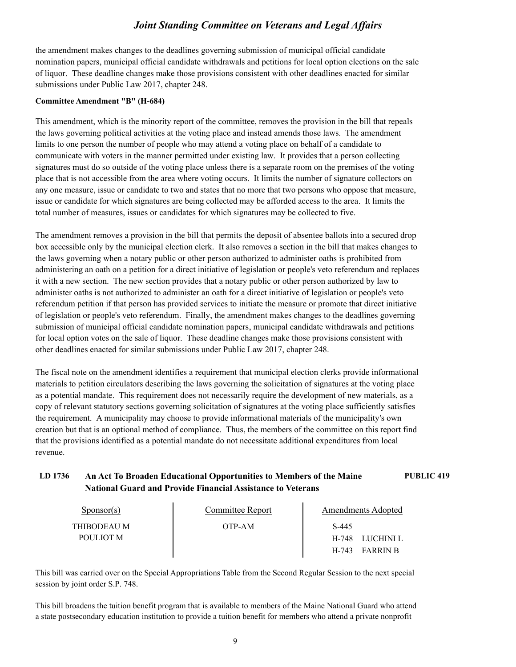the amendment makes changes to the deadlines governing submission of municipal official candidate nomination papers, municipal official candidate withdrawals and petitions for local option elections on the sale of liquor. These deadline changes make those provisions consistent with other deadlines enacted for similar submissions under Public Law 2017, chapter 248.

#### **Committee Amendment "B" (H-684)**

This amendment, which is the minority report of the committee, removes the provision in the bill that repeals the laws governing political activities at the voting place and instead amends those laws. The amendment limits to one person the number of people who may attend a voting place on behalf of a candidate to communicate with voters in the manner permitted under existing law. It provides that a person collecting signatures must do so outside of the voting place unless there is a separate room on the premises of the voting place that is not accessible from the area where voting occurs. It limits the number of signature collectors on any one measure, issue or candidate to two and states that no more that two persons who oppose that measure, issue or candidate for which signatures are being collected may be afforded access to the area. It limits the total number of measures, issues or candidates for which signatures may be collected to five.

The amendment removes a provision in the bill that permits the deposit of absentee ballots into a secured drop box accessible only by the municipal election clerk. It also removes a section in the bill that makes changes to the laws governing when a notary public or other person authorized to administer oaths is prohibited from administering an oath on a petition for a direct initiative of legislation or people's veto referendum and replaces it with a new section. The new section provides that a notary public or other person authorized by law to administer oaths is not authorized to administer an oath for a direct initiative of legislation or people's veto referendum petition if that person has provided services to initiate the measure or promote that direct initiative of legislation or people's veto referendum. Finally, the amendment makes changes to the deadlines governing submission of municipal official candidate nomination papers, municipal candidate withdrawals and petitions for local option votes on the sale of liquor. These deadline changes make those provisions consistent with other deadlines enacted for similar submissions under Public Law 2017, chapter 248.

The fiscal note on the amendment identifies a requirement that municipal election clerks provide informational materials to petition circulators describing the laws governing the solicitation of signatures at the voting place as a potential mandate. This requirement does not necessarily require the development of new materials, as a copy of relevant statutory sections governing solicitation of signatures at the voting place sufficiently satisfies the requirement. A municipality may choose to provide informational materials of the municipality's own creation but that is an optional method of compliance. Thus, the members of the committee on this report find that the provisions identified as a potential mandate do not necessitate additional expenditures from local revenue.

## **LD 1736 An Act To Broaden Educational Opportunities to Members of the Maine PUBLIC 419 National Guard and Provide Financial Assistance to Veterans**

| $S_{\text{PON}(\text{S})}$ | Committee Report | <b>Amendments Adopted</b> |
|----------------------------|------------------|---------------------------|
| THIBODEAU M                | OTP-AM           | S-445                     |
| POULIOT M                  |                  | H-748 LUCHINI L           |
|                            |                  | <b>FARRIN B</b><br>H-743  |

This bill was carried over on the Special Appropriations Table from the Second Regular Session to the next special session by joint order S.P. 748.

This bill broadens the tuition benefit program that is available to members of the Maine National Guard who attend a state postsecondary education institution to provide a tuition benefit for members who attend a private nonprofit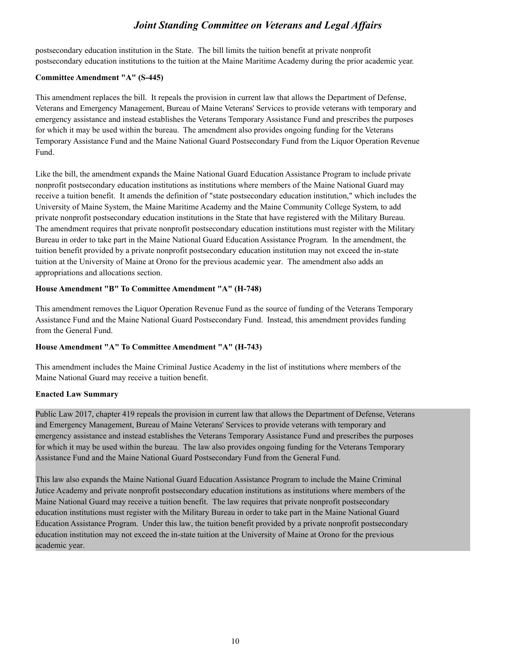postsecondary education institution in the State. The bill limits the tuition benefit at private nonprofit postsecondary education institutions to the tuition at the Maine Maritime Academy during the prior academic year.

#### **Committee Amendment "A" (S-445)**

This amendment replaces the bill. It repeals the provision in current law that allows the Department of Defense, Veterans and Emergency Management, Bureau of Maine Veterans' Services to provide veterans with temporary and emergency assistance and instead establishes the Veterans Temporary Assistance Fund and prescribes the purposes for which it may be used within the bureau. The amendment also provides ongoing funding for the Veterans Temporary Assistance Fund and the Maine National Guard Postsecondary Fund from the Liquor Operation Revenue Fund.

Like the bill, the amendment expands the Maine National Guard Education Assistance Program to include private nonprofit postsecondary education institutions as institutions where members of the Maine National Guard may receive a tuition benefit. It amends the definition of "state postsecondary education institution," which includes the University of Maine System, the Maine Maritime Academy and the Maine Community College System, to add private nonprofit postsecondary education institutions in the State that have registered with the Military Bureau. The amendment requires that private nonprofit postsecondary education institutions must register with the Military Bureau in order to take part in the Maine National Guard Education Assistance Program. In the amendment, the tuition benefit provided by a private nonprofit postsecondary education institution may not exceed the in-state tuition at the University of Maine at Orono for the previous academic year. The amendment also adds an appropriations and allocations section.

#### **House Amendment "B" To Committee Amendment "A" (H-748)**

This amendment removes the Liquor Operation Revenue Fund as the source of funding of the Veterans Temporary Assistance Fund and the Maine National Guard Postsecondary Fund. Instead, this amendment provides funding from the General Fund.

#### **House Amendment "A" To Committee Amendment "A" (H-743)**

This amendment includes the Maine Criminal Justice Academy in the list of institutions where members of the Maine National Guard may receive a tuition benefit.

#### **Enacted Law Summary**

Public Law 2017, chapter 419 repeals the provision in current law that allows the Department of Defense, Veterans and Emergency Management, Bureau of Maine Veterans' Services to provide veterans with temporary and emergency assistance and instead establishes the Veterans Temporary Assistance Fund and prescribes the purposes for which it may be used within the bureau. The law also provides ongoing funding for the Veterans Temporary Assistance Fund and the Maine National Guard Postsecondary Fund from the General Fund.

This law also expands the Maine National Guard Education Assistance Program to include the Maine Criminal Jutice Academy and private nonprofit postsecondary education institutions as institutions where members of the Maine National Guard may receive a tuition benefit. The law requires that private nonprofit postsecondary education institutions must register with the Military Bureau in order to take part in the Maine National Guard Education Assistance Program. Under this law, the tuition benefit provided by a private nonprofit postsecondary education institution may not exceed the in-state tuition at the University of Maine at Orono for the previous academic year.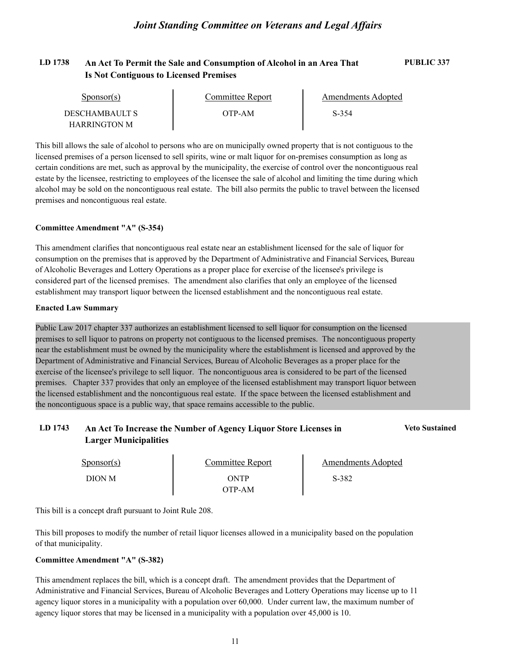## **LD 1738 An Act To Permit the Sale and Consumption of Alcohol in an Area That PUBLIC 337 Is Not Contiguous to Licensed Premises**

| Sponsor(s)            | Committee Report | Amendments Adopted |  |
|-----------------------|------------------|--------------------|--|
| <b>DESCHAMBAULT S</b> | OTP-AM           | S-354              |  |
| <b>HARRINGTON M</b>   |                  |                    |  |

This bill allows the sale of alcohol to persons who are on municipally owned property that is not contiguous to the licensed premises of a person licensed to sell spirits, wine or malt liquor for on-premises consumption as long as certain conditions are met, such as approval by the municipality, the exercise of control over the noncontiguous real estate by the licensee, restricting to employees of the licensee the sale of alcohol and limiting the time during which alcohol may be sold on the noncontiguous real estate. The bill also permits the public to travel between the licensed premises and noncontiguous real estate.

#### **Committee Amendment "A" (S-354)**

This amendment clarifies that noncontiguous real estate near an establishment licensed for the sale of liquor for consumption on the premises that is approved by the Department of Administrative and Financial Services, Bureau of Alcoholic Beverages and Lottery Operations as a proper place for exercise of the licensee's privilege is considered part of the licensed premises. The amendment also clarifies that only an employee of the licensed establishment may transport liquor between the licensed establishment and the noncontiguous real estate.

#### **Enacted Law Summary**

Public Law 2017 chapter 337 authorizes an establishment licensed to sell liquor for consumption on the licensed premises to sell liquor to patrons on property not contiguous to the licensed premises. The noncontiguous property near the establishment must be owned by the municipality where the establishment is licensed and approved by the Department of Administrative and Financial Services, Bureau of Alcoholic Beverages as a proper place for the exercise of the licensee's privilege to sell liquor. The noncontiguous area is considered to be part of the licensed premises. Chapter 337 provides that only an employee of the licensed establishment may transport liquor between the licensed establishment and the noncontiguous real estate. If the space between the licensed establishment and the noncontiguous space is a public way, that space remains accessible to the public.

## **LD 1743 An Act To Increase the Number of Agency Liquor Store Licenses in Veto Sustained Larger Municipalities**

| $S_{\text{ponsor}}(s)$ | Committee Report | <b>Amendments Adopted</b> |  |
|------------------------|------------------|---------------------------|--|
| <b>DION M</b>          | ONTP<br>OTP-AM   | S-382                     |  |

This bill is a concept draft pursuant to Joint Rule 208.

This bill proposes to modify the number of retail liquor licenses allowed in a municipality based on the population of that municipality.

#### **Committee Amendment "A" (S-382)**

This amendment replaces the bill, which is a concept draft. The amendment provides that the Department of Administrative and Financial Services, Bureau of Alcoholic Beverages and Lottery Operations may license up to 11 agency liquor stores in a municipality with a population over 60,000. Under current law, the maximum number of agency liquor stores that may be licensed in a municipality with a population over 45,000 is 10.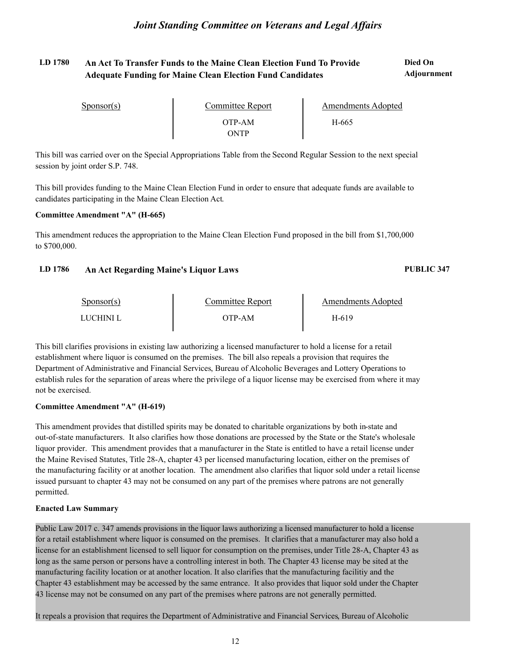#### LD 1780 An Act To Transfer Funds to the Maine Clean Election Fund To Provide **Died On Adjournment Adequate Funding for Maine Clean Election Fund Candidates**

| $S_{\text{DONSOT}}(s)$ | <b>Committee Report</b> | Amendments Adopted |  |
|------------------------|-------------------------|--------------------|--|
|                        | OTP-AM<br>ONTP          | H-665              |  |

This bill was carried over on the Special Appropriations Table from the Second Regular Session to the next special session by joint order S.P. 748.

This bill provides funding to the Maine Clean Election Fund in order to ensure that adequate funds are available to candidates participating in the Maine Clean Election Act.

#### **Committee Amendment "A" (H-665)**

This amendment reduces the appropriation to the Maine Clean Election Fund proposed in the bill from \$1,700,000 to \$700,000.

#### **LD 1786 An Act Regarding Maine's Liquor Laws PUBLIC 347**

| $S_{\text{ponsor}}(s)$ | Committee Report | Amendments Adopted |  |
|------------------------|------------------|--------------------|--|
| LUCHINI L              | OTP-AM           | H-619              |  |

This bill clarifies provisions in existing law authorizing a licensed manufacturer to hold a license for a retail establishment where liquor is consumed on the premises. The bill also repeals a provision that requires the Department of Administrative and Financial Services, Bureau of Alcoholic Beverages and Lottery Operations to establish rules for the separation of areas where the privilege of a liquor license may be exercised from where it may not be exercised.

#### **Committee Amendment "A" (H-619)**

This amendment provides that distilled spirits may be donated to charitable organizations by both in-state and out-of-state manufacturers. It also clarifies how those donations are processed by the State or the State's wholesale liquor provider. This amendment provides that a manufacturer in the State is entitled to have a retail license under the Maine Revised Statutes, Title 28-A, chapter 43 per licensed manufacturing location, either on the premises of the manufacturing facility or at another location. The amendment also clarifies that liquor sold under a retail license issued pursuant to chapter 43 may not be consumed on any part of the premises where patrons are not generally permitted.

#### **Enacted Law Summary**

Public Law 2017 c. 347 amends provisions in the liquor laws authorizing a licensed manufacturer to hold a license for a retail establishment where liquor is consumed on the premises. It clarifies that a manufacturer may also hold a license for an establishment licensed to sell liquor for consumption on the premises, under Title 28-A, Chapter 43 as long as the same person or persons have a controlling interest in both. The Chapter 43 license may be sited at the manufacturing facility location or at another location. It also clarifies that the manufacturing facilitiy and the Chapter 43 establishment may be accessed by the same entrance. It also provides that liquor sold under the Chapter 43 license may not be consumed on any part of the premises where patrons are not generally permitted.

It repeals a provision that requires the Department of Administrative and Financial Services, Bureau of Alcoholic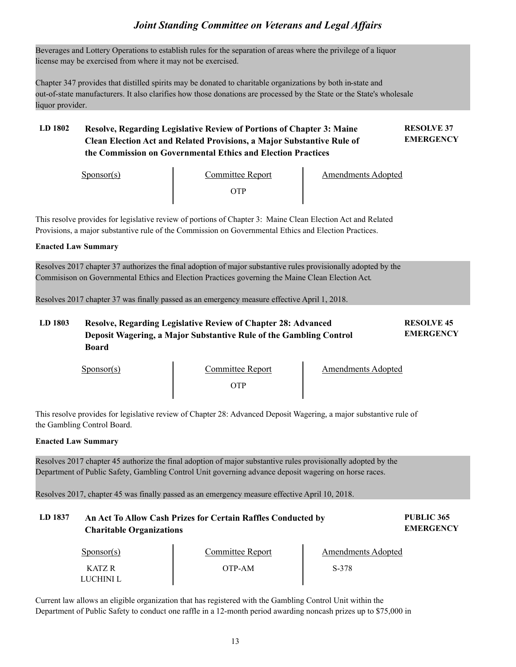Beverages and Lottery Operations to establish rules for the separation of areas where the privilege of a liquor license may be exercised from where it may not be exercised.

Chapter 347 provides that distilled spirits may be donated to charitable organizations by both in-state and out-of-state manufacturers. It also clarifies how those donations are processed by the State or the State's wholesale liquor provider.

## **LD 1802 RESOLVE 37 Resolve, Regarding Legislative Review of Portions of Chapter 3: Maine Clean Election Act and Related Provisions, a Major Substantive Rule of the Commission on Governmental Ethics and Election Practices**

# **EMERGENCY**

Sponsor(s)

Committee Report The Amendments Adopted

OTP

This resolve provides for legislative review of portions of Chapter 3: Maine Clean Election Act and Related Provisions, a major substantive rule of the Commission on Governmental Ethics and Election Practices.

### **Enacted Law Summary**

Resolves 2017 chapter 37 authorizes the final adoption of major substantive rules provisionally adopted by the Commisison on Governmental Ethics and Election Practices governing the Maine Clean Election Act.

Resolves 2017 chapter 37 was finally passed as an emergency measure effective April 1, 2018.

#### **LD 1803 RESOLVE 45 Resolve, Regarding Legislative Review of Chapter 28: Advanced EMERGENCY Deposit Wagering, a Major Substantive Rule of the Gambling Control Board**

Sponsor(s) OTP Committee Report The Amendments Adopted

This resolve provides for legislative review of Chapter 28: Advanced Deposit Wagering, a major substantive rule of the Gambling Control Board.

#### **Enacted Law Summary**

Resolves 2017 chapter 45 authorize the final adoption of major substantive rules provisionally adopted by the Department of Public Safety, Gambling Control Unit governing advance deposit wagering on horse races.

Resolves 2017, chapter 45 was finally passed as an emergency measure effective April 10, 2018.

| LD 1837 | An Act To Allow Cash Prizes for Certain Raffles Conducted by | PUBLIC 365       |
|---------|--------------------------------------------------------------|------------------|
|         | <b>Charitable Organizations</b>                              | <b>EMERGENCY</b> |

| $S_{\text{PON}(\text{S})}$ | Committee Report | Amendments Adopted |  |
|----------------------------|------------------|--------------------|--|
| <b>KATZ R</b><br>LUCHINI L | OTP-AM           | S-378              |  |

Current law allows an eligible organization that has registered with the Gambling Control Unit within the Department of Public Safety to conduct one raffle in a 12-month period awarding noncash prizes up to \$75,000 in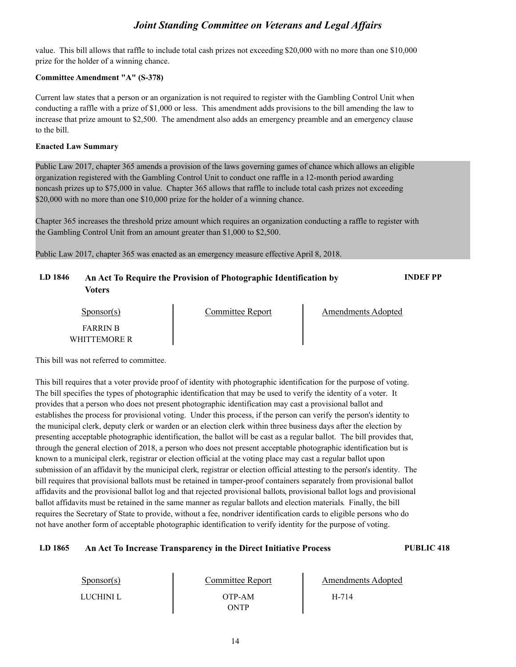value. This bill allows that raffle to include total cash prizes not exceeding \$20,000 with no more than one \$10,000 prize for the holder of a winning chance.

#### **Committee Amendment "A" (S-378)**

Current law states that a person or an organization is not required to register with the Gambling Control Unit when conducting a raffle with a prize of \$1,000 or less. This amendment adds provisions to the bill amending the law to increase that prize amount to \$2,500. The amendment also adds an emergency preamble and an emergency clause to the bill.

#### **Enacted Law Summary**

Public Law 2017, chapter 365 amends a provision of the laws governing games of chance which allows an eligible organization registered with the Gambling Control Unit to conduct one raffle in a 12-month period awarding noncash prizes up to \$75,000 in value. Chapter 365 allows that raffle to include total cash prizes not exceeding \$20,000 with no more than one \$10,000 prize for the holder of a winning chance.

Chapter 365 increases the threshold prize amount which requires an organization conducting a raffle to register with the Gambling Control Unit from an amount greater than \$1,000 to \$2,500.

Public Law 2017, chapter 365 was enacted as an emergency measure effective April 8, 2018.

## **LD 1846 An Act To Require the Provision of Photographic Identification by INDEF PP Voters**

Amendments Adopted

| $S_{\text{ponsor}}(s)$ | Committee Report |
|------------------------|------------------|
| <b>FARRIN R</b>        |                  |
| WHITTEMORE R           |                  |

This bill was not referred to committee.

This bill requires that a voter provide proof of identity with photographic identification for the purpose of voting. The bill specifies the types of photographic identification that may be used to verify the identity of a voter. It provides that a person who does not present photographic identification may cast a provisional ballot and establishes the process for provisional voting. Under this process, if the person can verify the person's identity to the municipal clerk, deputy clerk or warden or an election clerk within three business days after the election by presenting acceptable photographic identification, the ballot will be cast as a regular ballot. The bill provides that, through the general election of 2018, a person who does not present acceptable photographic identification but is known to a municipal clerk, registrar or election official at the voting place may cast a regular ballot upon submission of an affidavit by the municipal clerk, registrar or election official attesting to the person's identity. The bill requires that provisional ballots must be retained in tamper-proof containers separately from provisional ballot affidavits and the provisional ballot log and that rejected provisional ballots, provisional ballot logs and provisional ballot affidavits must be retained in the same manner as regular ballots and election materials. Finally, the bill requires the Secretary of State to provide, without a fee, nondriver identification cards to eligible persons who do not have another form of acceptable photographic identification to verify identity for the purpose of voting.

#### **LD 1865 An Act To Increase Transparency in the Direct Initiative Process PUBLIC 418**

| $S_{\text{PON}(\text{S})}$ | Committee Report | Amendments Adopted |  |
|----------------------------|------------------|--------------------|--|
| LUCHINI L                  | OTP-AM           | H-714              |  |
|                            | <b>DNTP</b>      |                    |  |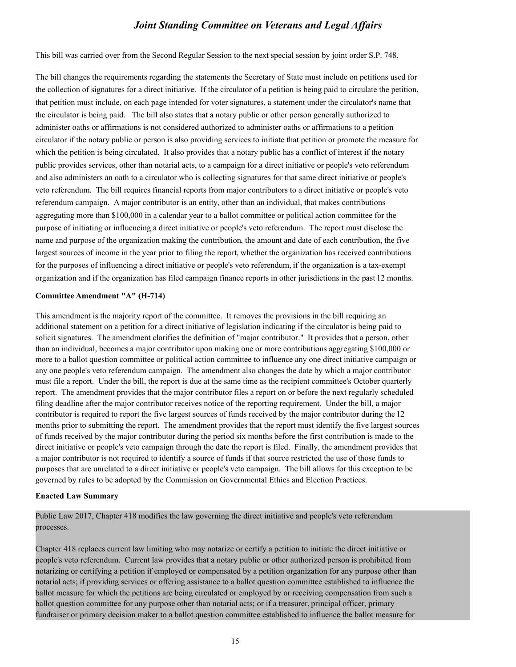This bill was carried over from the Second Regular Session to the next special session by joint order S.P. 748.

The bill changes the requirements regarding the statements the Secretary of State must include on petitions used for the collection of signatures for a direct initiative. If the circulator of a petition is being paid to circulate the petition, that petition must include, on each page intended for voter signatures, a statement under the circulator's name that the circulator is being paid. The bill also states that a notary public or other person generally authorized to administer oaths or affirmations is not considered authorized to administer oaths or affirmations to a petition circulator if the notary public or person is also providing services to initiate that petition or promote the measure for which the petition is being circulated. It also provides that a notary public has a conflict of interest if the notary public provides services, other than notarial acts, to a campaign for a direct initiative or people's veto referendum and also administers an oath to a circulator who is collecting signatures for that same direct initiative or people's veto referendum. The bill requires financial reports from major contributors to a direct initiative or people's veto referendum campaign. A major contributor is an entity, other than an individual, that makes contributions aggregating more than \$100,000 in a calendar year to a ballot committee or political action committee for the purpose of initiating or influencing a direct initiative or people's veto referendum. The report must disclose the name and purpose of the organization making the contribution, the amount and date of each contribution, the five largest sources of income in the year prior to filing the report, whether the organization has received contributions for the purposes of influencing a direct initiative or people's veto referendum, if the organization is a tax-exempt organization and if the organization has filed campaign finance reports in other jurisdictions in the past 12 months.

#### **Committee Amendment "A" (H-714)**

This amendment is the majority report of the committee. It removes the provisions in the bill requiring an additional statement on a petition for a direct initiative of legislation indicating if the circulator is being paid to solicit signatures. The amendment clarifies the definition of "major contributor." It provides that a person, other than an individual, becomes a major contributor upon making one or more contributions aggregating \$100,000 or more to a ballot question committee or political action committee to influence any one direct initiative campaign or any one people's veto referendum campaign. The amendment also changes the date by which a major contributor must file a report. Under the bill, the report is due at the same time as the recipient committee's October quarterly report. The amendment provides that the major contributor files a report on or before the next regularly scheduled filing deadline after the major contributor receives notice of the reporting requirement. Under the bill, a major contributor is required to report the five largest sources of funds received by the major contributor during the 12 months prior to submitting the report. The amendment provides that the report must identify the five largest sources of funds received by the major contributor during the period six months before the first contribution is made to the direct initiative or people's veto campaign through the date the report is filed. Finally, the amendment provides that a major contributor is not required to identify a source of funds if that source restricted the use of those funds to purposes that are unrelated to a direct initiative or people's veto campaign. The bill allows for this exception to be governed by rules to be adopted by the Commission on Governmental Ethics and Election Practices.

#### **Enacted Law Summary**

Public Law 2017, Chapter 418 modifies the law governing the direct initiative and people's veto referendum processes.

Chapter 418 replaces current law limiting who may notarize or certify a petition to initiate the direct initiative or people's veto referendum. Current law provides that a notary public or other authorized person is prohibited from notarizing or certifying a petition if employed or compensated by a petition organization for any purpose other than notarial acts; if providing services or offering assistance to a ballot question committee established to influence the ballot measure for which the petitions are being circulated or employed by or receiving compensation from such a ballot question committee for any purpose other than notarial acts; or if a treasurer, principal officer, primary fundraiser or primary decision maker to a ballot question committee established to influence the ballot measure for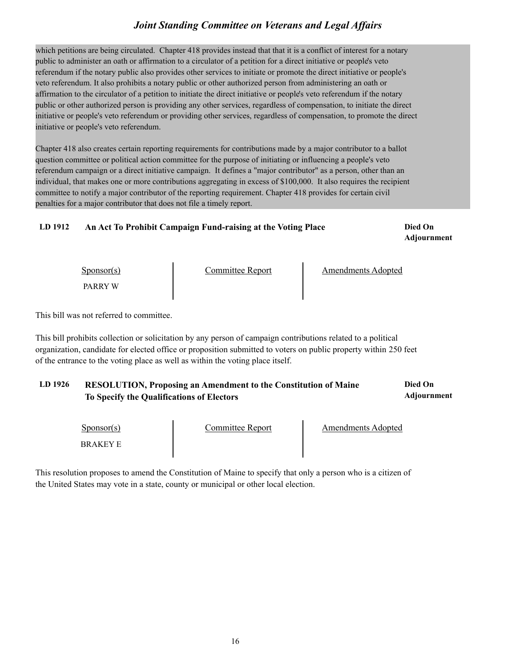which petitions are being circulated. Chapter 418 provides instead that that it is a conflict of interest for a notary public to administer an oath or affirmation to a circulator of a petition for a direct initiative or people's veto referendum if the notary public also provides other services to initiate or promote the direct initiative or people's veto referendum. It also prohibits a notary public or other authorized person from administering an oath or affirmation to the circulator of a petition to initiate the direct initiative or people's veto referendum if the notary public or other authorized person is providing any other services, regardless of compensation, to initiate the direct initiative or people's veto referendum or providing other services, regardless of compensation, to promote the direct initiative or people's veto referendum.

Chapter 418 also creates certain reporting requirements for contributions made by a major contributor to a ballot question committee or political action committee for the purpose of initiating or influencing a people's veto referendum campaign or a direct initiative campaign. It defines a "major contributor" as a person, other than an individual, that makes one or more contributions aggregating in excess of \$100,000. It also requires the recipient committee to notify a major contributor of the reporting requirement. Chapter 418 provides for certain civil penalties for a major contributor that does not file a timely report.

### LD 1912 An Act To Prohibit Campaign Fund-raising at the Voting Place **Died On**

**Adjournment**

Sponsor(s)

Sponsor(s) Committee Report<br>PARRY W

Amendments Adopted

This bill was not referred to committee.

This bill prohibits collection or solicitation by any person of campaign contributions related to a political organization, candidate for elected office or proposition submitted to voters on public property within 250 feet of the entrance to the voting place as well as within the voting place itself.

#### LD 1926 RESOLUTION, Proposing an Amendment to the Constitution of Maine **Died On Adjournment To Specify the Qualifications of Electors**

| $S_{\text{DONSOT}}(s)$ | <b>Committee Report</b> | Amendments Adopted |  |
|------------------------|-------------------------|--------------------|--|
| BRAKEY E               |                         |                    |  |

This resolution proposes to amend the Constitution of Maine to specify that only a person who is a citizen of the United States may vote in a state, county or municipal or other local election.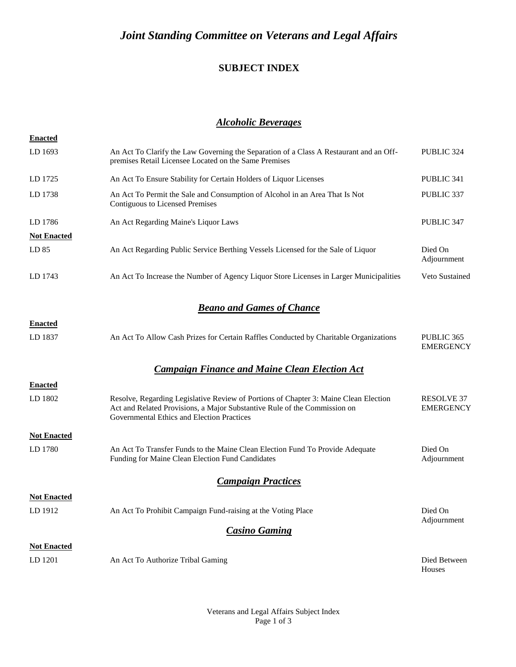## **SUBJECT INDEX**

## *Alcoholic Beverages*

| <b>Enacted</b>     |                                                                                                                                                                                                                 |                                       |
|--------------------|-----------------------------------------------------------------------------------------------------------------------------------------------------------------------------------------------------------------|---------------------------------------|
| LD 1693            | An Act To Clarify the Law Governing the Separation of a Class A Restaurant and an Off-<br>premises Retail Licensee Located on the Same Premises                                                                 | PUBLIC 324                            |
| LD 1725            | An Act To Ensure Stability for Certain Holders of Liquor Licenses                                                                                                                                               | PUBLIC 341                            |
| LD 1738            | An Act To Permit the Sale and Consumption of Alcohol in an Area That Is Not<br>Contiguous to Licensed Premises                                                                                                  | PUBLIC 337                            |
| LD 1786            | An Act Regarding Maine's Liquor Laws                                                                                                                                                                            | PUBLIC 347                            |
| <b>Not Enacted</b> |                                                                                                                                                                                                                 |                                       |
| LD 85              | An Act Regarding Public Service Berthing Vessels Licensed for the Sale of Liquor                                                                                                                                | Died On<br>Adjournment                |
| LD 1743            | An Act To Increase the Number of Agency Liquor Store Licenses in Larger Municipalities                                                                                                                          | Veto Sustained                        |
|                    | <b>Beano and Games of Chance</b>                                                                                                                                                                                |                                       |
| <b>Enacted</b>     |                                                                                                                                                                                                                 |                                       |
| LD 1837            | An Act To Allow Cash Prizes for Certain Raffles Conducted by Charitable Organizations                                                                                                                           | PUBLIC 365<br><b>EMERGENCY</b>        |
|                    | <b>Campaign Finance and Maine Clean Election Act</b>                                                                                                                                                            |                                       |
| <b>Enacted</b>     |                                                                                                                                                                                                                 |                                       |
| LD 1802            | Resolve, Regarding Legislative Review of Portions of Chapter 3: Maine Clean Election<br>Act and Related Provisions, a Major Substantive Rule of the Commission on<br>Governmental Ethics and Election Practices | <b>RESOLVE 37</b><br><b>EMERGENCY</b> |
| <b>Not Enacted</b> |                                                                                                                                                                                                                 |                                       |
| LD 1780            | An Act To Transfer Funds to the Maine Clean Election Fund To Provide Adequate<br>Funding for Maine Clean Election Fund Candidates                                                                               | Died On<br>Adjournment                |
|                    | <b>Campaign Practices</b>                                                                                                                                                                                       |                                       |
| <b>Not Enacted</b> |                                                                                                                                                                                                                 |                                       |
| LD 1912            | An Act To Prohibit Campaign Fund-raising at the Voting Place                                                                                                                                                    | Died On<br>Adjournment                |
|                    | <b>Casino Gaming</b>                                                                                                                                                                                            |                                       |
| <b>Not Enacted</b> |                                                                                                                                                                                                                 |                                       |
| LD 1201            | An Act To Authorize Tribal Gaming                                                                                                                                                                               | Died Between<br>Houses                |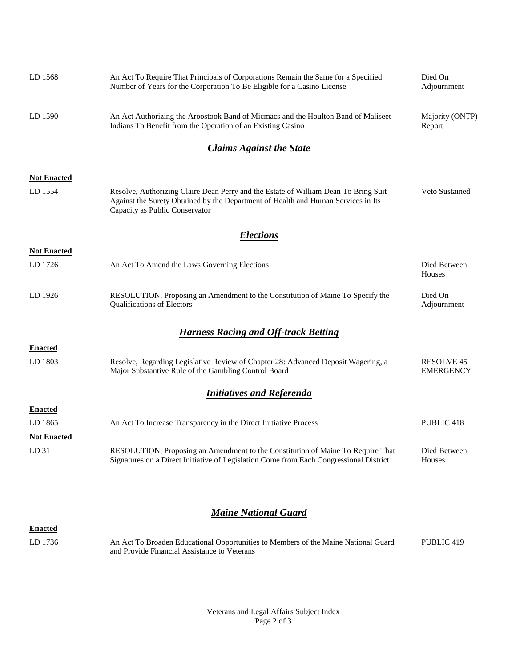| LD 1568                     | An Act To Require That Principals of Corporations Remain the Same for a Specified<br>Number of Years for the Corporation To Be Eligible for a Casino License                                               | Died On<br>Adjournment                |  |  |
|-----------------------------|------------------------------------------------------------------------------------------------------------------------------------------------------------------------------------------------------------|---------------------------------------|--|--|
| LD 1590                     | An Act Authorizing the Aroostook Band of Micmacs and the Houlton Band of Maliseet<br>Indians To Benefit from the Operation of an Existing Casino                                                           | Majority (ONTP)<br>Report             |  |  |
|                             | <b>Claims Against the State</b>                                                                                                                                                                            |                                       |  |  |
| <b>Not Enacted</b>          |                                                                                                                                                                                                            |                                       |  |  |
| LD 1554                     | Resolve, Authorizing Claire Dean Perry and the Estate of William Dean To Bring Suit<br>Against the Surety Obtained by the Department of Health and Human Services in Its<br>Capacity as Public Conservator | Veto Sustained                        |  |  |
|                             | <b>Elections</b>                                                                                                                                                                                           |                                       |  |  |
| <b>Not Enacted</b>          |                                                                                                                                                                                                            |                                       |  |  |
| LD 1726                     | An Act To Amend the Laws Governing Elections                                                                                                                                                               | Died Between<br>Houses                |  |  |
| LD 1926                     | RESOLUTION, Proposing an Amendment to the Constitution of Maine To Specify the<br>Qualifications of Electors                                                                                               | Died On<br>Adjournment                |  |  |
|                             | <b>Harness Racing and Off-track Betting</b>                                                                                                                                                                |                                       |  |  |
| <b>Enacted</b>              |                                                                                                                                                                                                            |                                       |  |  |
| LD 1803                     | Resolve, Regarding Legislative Review of Chapter 28: Advanced Deposit Wagering, a<br>Major Substantive Rule of the Gambling Control Board                                                                  | <b>RESOLVE 45</b><br><b>EMERGENCY</b> |  |  |
|                             | <b>Initiatives and Referenda</b>                                                                                                                                                                           |                                       |  |  |
| <b>Enacted</b>              |                                                                                                                                                                                                            |                                       |  |  |
| LD 1865                     | An Act To Increase Transparency in the Direct Initiative Process                                                                                                                                           | PUBLIC <sub>418</sub>                 |  |  |
| <b>Not Enacted</b>          |                                                                                                                                                                                                            |                                       |  |  |
| LD 31                       | RESOLUTION, Proposing an Amendment to the Constitution of Maine To Require That<br>Signatures on a Direct Initiative of Legislation Come from Each Congressional District                                  | Died Between<br>Houses                |  |  |
| <b>Maine National Guard</b> |                                                                                                                                                                                                            |                                       |  |  |

## **Enacted**

LD 1736 An Act To Broaden Educational Opportunities to Members of the Maine National Guard and Provide Financial Assistance to Veterans PUBLIC 419